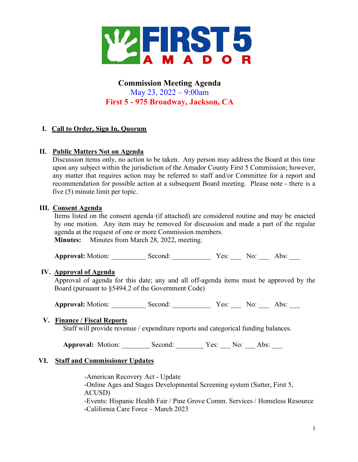

# Commission Meeting Agenda May 23, 2022 – 9:00am First 5 - 975 Broadway, Jackson, CA

# I. Call to Order, Sign In, Quorum

### II. Public Matters Not on Agenda

Discussion items only, no action to be taken. Any person may address the Board at this time upon any subject within the jurisdiction of the Amador County First 5 Commission; however, any matter that requires action may be referred to staff and/or Committee for a report and recommendation for possible action at a subsequent Board meeting. Please note - there is a five (5) minute limit per topic.

#### III. Consent Agenda

Items listed on the consent agenda (if attached) are considered routine and may be enacted by one motion. Any item may be removed for discussion and made a part of the regular agenda at the request of one or more Commission members.

Minutes: Minutes from March 28, 2022, meeting.

Approval: Motion: Second: <br>
Second: Yes: No: Abs:

#### IV. Approval of Agenda

Approval of agenda for this date; any and all off-agenda items must be approved by the Board (pursuant to §5494.2 of the Government Code)

Approval: Motion: \_\_\_\_\_\_\_\_\_\_ Second: \_\_\_\_\_\_\_\_\_ Yes: \_\_\_\_ No: \_\_\_\_ Abs: \_\_\_

#### V. Finance / Fiscal Reports

Staff will provide revenue / expenditure reports and categorical funding balances.

Approval: Motion: Second: Yes: No: Abs:

#### VI. Staff and Commissioner Updates

-American Recovery Act - Update -Online Ages and Stages Developmental Screening system (Sutter, First 5, ACUSD) -Events: Hispanic Health Fair / Pine Grove Comm. Services / Homeless Resource -California Care Force – March 2023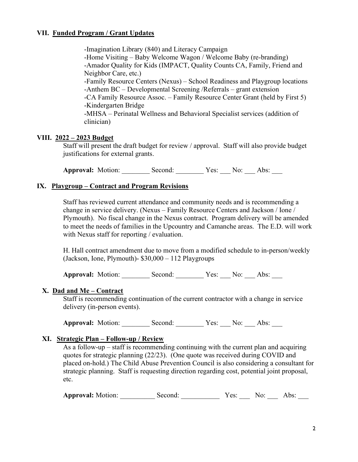## VII. Funded Program / Grant Updates

 -Imagination Library (840) and Literacy Campaign -Home Visiting – Baby Welcome Wagon / Welcome Baby (re-branding) -Amador Quality for Kids (IMPACT, Quality Counts CA, Family, Friend and Neighbor Care, etc.) -Family Resource Centers (Nexus) – School Readiness and Playgroup locations -Anthem BC – Developmental Screening /Referrals – grant extension -CA Family Resource Assoc. – Family Resource Center Grant (held by First 5) -Kindergarten Bridge -MHSA – Perinatal Wellness and Behavioral Specialist services (addition of clinician)

# VIII. 2022 – 2023 Budget

Staff will present the draft budget for review / approval. Staff will also provide budget justifications for external grants.

Approval: Motion: Second: Yes: No: Abs:

### IX. Playgroup – Contract and Program Revisions

Staff has reviewed current attendance and community needs and is recommending a change in service delivery. (Nexus – Family Resource Centers and Jackson / Ione / Plymouth). No fiscal change in the Nexus contract. Program delivery will be amended to meet the needs of families in the Upcountry and Camanche areas. The E.D. will work with Nexus staff for reporting / evaluation.

H. Hall contract amendment due to move from a modified schedule to in-person/weekly (Jackson, Ione, Plymouth)- \$30,000 – 112 Playgroups

Approval: Motion: Second: Yes: No: Abs:

#### X. Dad and Me – Contract

Staff is recommending continuation of the current contractor with a change in service delivery (in-person events).

Approval: Motion: \_\_\_\_\_\_\_\_\_ Second: \_\_\_\_\_\_\_\_ Yes: \_\_\_ No: \_\_\_ Abs: \_\_\_

# XI. Strategic Plan – Follow-up / Review

As a follow-up – staff is recommending continuing with the current plan and acquiring quotes for strategic planning (22/23). (One quote was received during COVID and placed on-hold.) The Child Abuse Prevention Council is also considering a consultant for strategic planning. Staff is requesting direction regarding cost, potential joint proposal, etc.

Approval: Motion: \_\_\_\_\_\_\_\_\_\_ Second: \_\_\_\_\_\_\_\_\_ Yes: \_\_\_\_ No: \_\_\_\_ Abs: \_\_\_